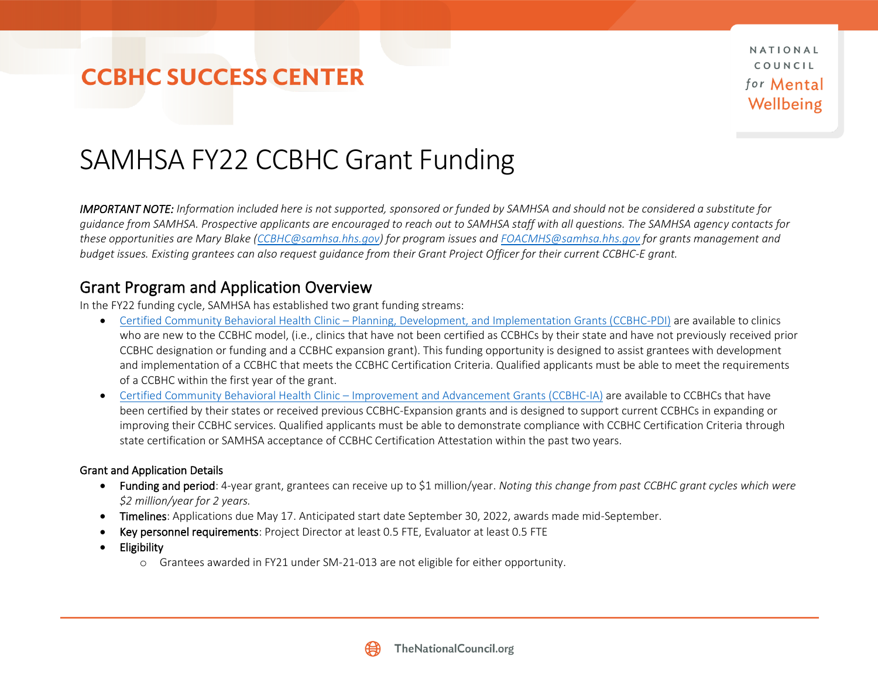NATIONAL COUNCIL for Mental Wellbeing

# SAMHSA FY22 CCBHC Grant Funding

*IMPORTANT NOTE: Information included here is not supported, sponsored or funded by SAMHSA and should not be considered a substitute for guidance from SAMHSA. Prospective applicants are encouraged to reach out to SAMHSA staff with all questions. The SAMHSA agency contacts for these opportunities are Mary Blake [\(CCBHC@samhsa.hhs.gov\)](mailto:CCBHC@samhsa.hhs.gov) for program issues an[d FOACMHS@samhsa.hhs.gov](mailto:FOACMHS@samhsa.hhs.gov) for grants management and budget issues. Existing grantees can also request guidance from their Grant Project Officer for their current CCBHC-E grant.*

#### Grant Program and Application Overview

In the FY22 funding cycle, SAMHSA has established two grant funding streams:

- Certified Community Behavioral Health Clinic [Planning, Development, and Implementation Grants \(CCBHC-PDI\)](https://www.samhsa.gov/grants/grant-announcements/sm-22-002) are available to clinics who are new to the CCBHC model, (i.e., clinics that have not been certified as CCBHCs by their state and have not previously received prior CCBHC designation or funding and a CCBHC expansion grant). This funding opportunity is designed to assist grantees with development and implementation of a CCBHC that meets the CCBHC Certification Criteria. Qualified applicants must be able to meet the requirements of a CCBHC within the first year of the grant.
- Certified Community Behavioral Health Clinic [Improvement and Advancement Grants \(CCBHC-IA\)](https://www.samhsa.gov/grants/grant-announcements/sm-22-012) are available to CCBHCs that have been certified by their states or received previous CCBHC-Expansion grants and is designed to support current CCBHCs in expanding or improving their CCBHC services. Qualified applicants must be able to demonstrate compliance with CCBHC Certification Criteria through state certification or SAMHSA acceptance of CCBHC Certification Attestation within the past two years.

#### Grant and Application Details

- Funding and period: 4-year grant, grantees can receive up to \$1 million/year. *Noting this change from past CCBHC grant cycles which were \$2 million/year for 2 years.*
- Timelines: Applications due May 17. Anticipated start date September 30, 2022, awards made mid-September.
- Key personnel requirements: Project Director at least 0.5 FTE, Evaluator at least 0.5 FTE
- Eligibility
	- o Grantees awarded in FY21 under SM-21-013 are not eligible for either opportunity.

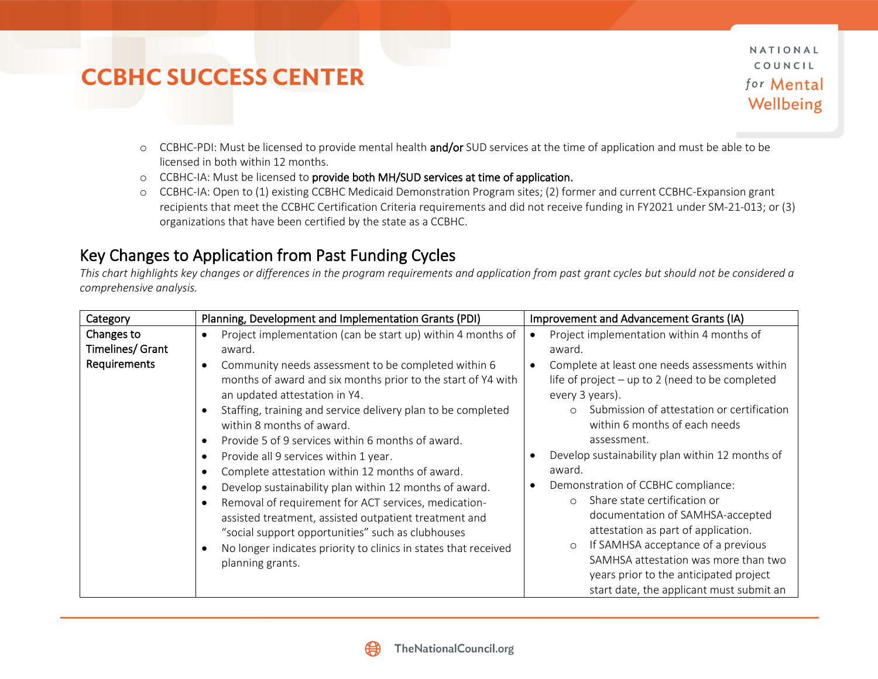NATIONAL COUNCIL for Mental Wellbeing

- o CCBHC-PDI: Must be licensed to provide mental health and/or SUD services at the time of application and must be able to be licensed in both within 12 months.
- o CCBHC-IA: Must be licensed to provide both MH/SUD services at time of application.
- o CCBHC-IA: Open to (1) existing CCBHC Medicaid Demonstration Program sites; (2) former and current CCBHC-Expansion grant recipients that meet the CCBHC Certification Criteria requirements and did not receive funding in FY2021 under SM-21-013; or (3) organizations that have been certified by the state as a CCBHC.

### Key Changes to Application from Past Funding Cycles

*This chart highlights key changes or differences in the program requirements and application from past grant cycles but should not be considered a comprehensive analysis.*

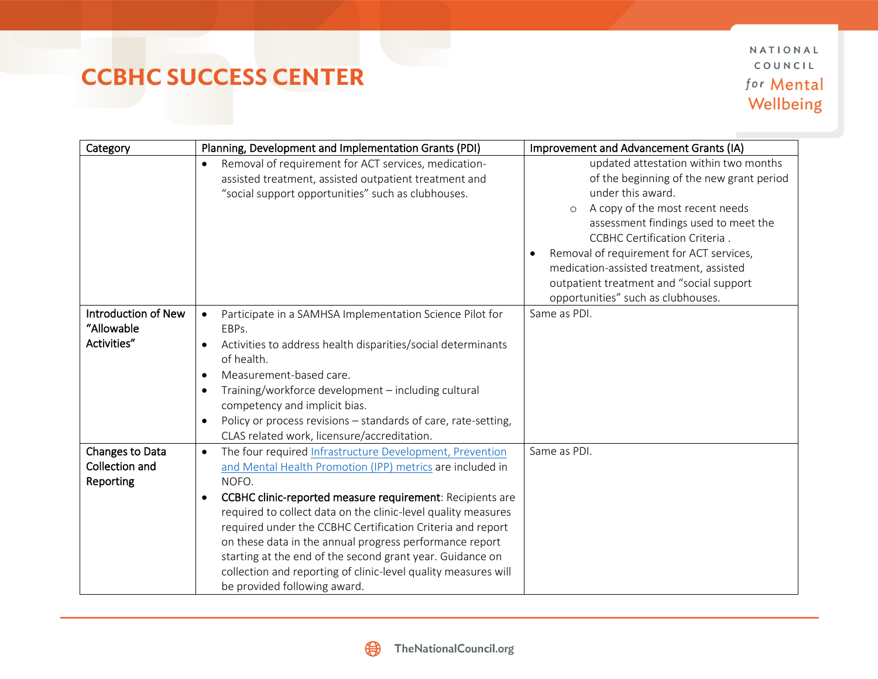NATIONAL COUNCIL for Mental Wellbeing

| Category                                         | Planning, Development and Implementation Grants (PDI)                                                                                                                                                                                                                                                                                                                                                                                                                                                                                                                          | Improvement and Advancement Grants (IA)                                                                                                                                                                                                                                                                                                                                                                |
|--------------------------------------------------|--------------------------------------------------------------------------------------------------------------------------------------------------------------------------------------------------------------------------------------------------------------------------------------------------------------------------------------------------------------------------------------------------------------------------------------------------------------------------------------------------------------------------------------------------------------------------------|--------------------------------------------------------------------------------------------------------------------------------------------------------------------------------------------------------------------------------------------------------------------------------------------------------------------------------------------------------------------------------------------------------|
|                                                  | Removal of requirement for ACT services, medication-<br>$\bullet$<br>assisted treatment, assisted outpatient treatment and<br>"social support opportunities" such as clubhouses.                                                                                                                                                                                                                                                                                                                                                                                               | updated attestation within two months<br>of the beginning of the new grant period<br>under this award.<br>A copy of the most recent needs<br>$\circ$<br>assessment findings used to meet the<br>CCBHC Certification Criteria.<br>Removal of requirement for ACT services,<br>medication-assisted treatment, assisted<br>outpatient treatment and "social support<br>opportunities" such as clubhouses. |
| Introduction of New<br>"Allowable<br>Activities" | Participate in a SAMHSA Implementation Science Pilot for<br>EBPs.<br>Activities to address health disparities/social determinants<br>of health.<br>Measurement-based care.<br>$\bullet$<br>Training/workforce development - including cultural<br>competency and implicit bias.<br>Policy or process revisions - standards of care, rate-setting,<br>CLAS related work, licensure/accreditation.                                                                                                                                                                               | Same as PDI.                                                                                                                                                                                                                                                                                                                                                                                           |
| Changes to Data<br>Collection and<br>Reporting   | The four required Infrastructure Development, Prevention<br>$\bullet$<br>and Mental Health Promotion (IPP) metrics are included in<br>NOFO.<br>CCBHC clinic-reported measure requirement: Recipients are<br>$\bullet$<br>required to collect data on the clinic-level quality measures<br>required under the CCBHC Certification Criteria and report<br>on these data in the annual progress performance report<br>starting at the end of the second grant year. Guidance on<br>collection and reporting of clinic-level quality measures will<br>be provided following award. | Same as PDI.                                                                                                                                                                                                                                                                                                                                                                                           |

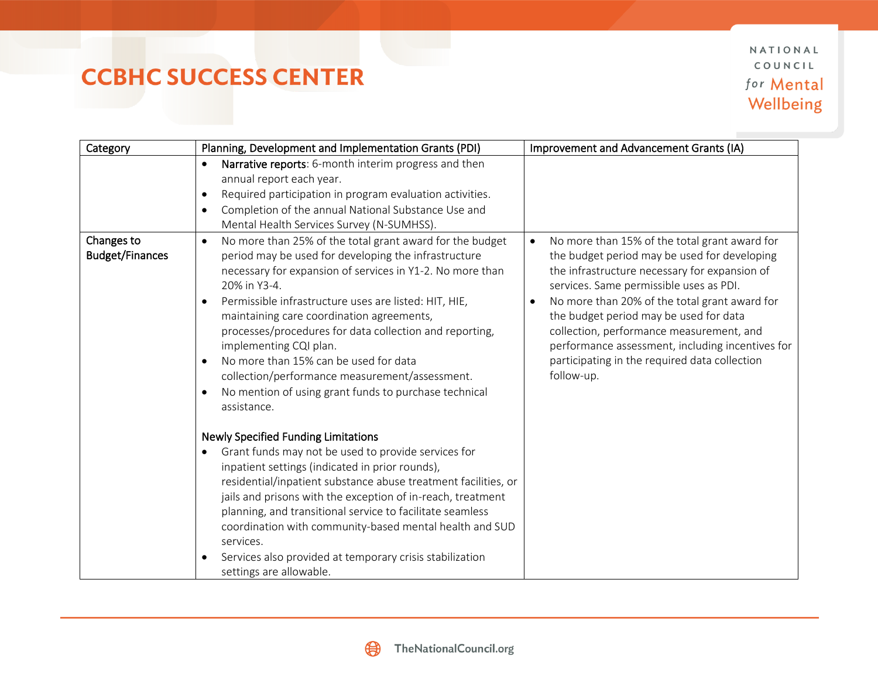NATIONAL COUNCIL for Mental Wellbeing

| Category                             | Planning, Development and Implementation Grants (PDI)                                                                                                                                                                                                                                                                                                                                                                                                                                                                                                                                                                                                                                                                                                                                                                                                                                                                                                                                                                                                                            | Improvement and Advancement Grants (IA)                                                                                                                                                                                                                                                                                                                                                                                                             |
|--------------------------------------|----------------------------------------------------------------------------------------------------------------------------------------------------------------------------------------------------------------------------------------------------------------------------------------------------------------------------------------------------------------------------------------------------------------------------------------------------------------------------------------------------------------------------------------------------------------------------------------------------------------------------------------------------------------------------------------------------------------------------------------------------------------------------------------------------------------------------------------------------------------------------------------------------------------------------------------------------------------------------------------------------------------------------------------------------------------------------------|-----------------------------------------------------------------------------------------------------------------------------------------------------------------------------------------------------------------------------------------------------------------------------------------------------------------------------------------------------------------------------------------------------------------------------------------------------|
|                                      | Narrative reports: 6-month interim progress and then<br>$\bullet$<br>annual report each year.<br>Required participation in program evaluation activities.<br>$\bullet$<br>Completion of the annual National Substance Use and<br>Mental Health Services Survey (N-SUMHSS).                                                                                                                                                                                                                                                                                                                                                                                                                                                                                                                                                                                                                                                                                                                                                                                                       |                                                                                                                                                                                                                                                                                                                                                                                                                                                     |
| Changes to<br><b>Budget/Finances</b> | No more than 25% of the total grant award for the budget<br>period may be used for developing the infrastructure<br>necessary for expansion of services in Y1-2. No more than<br>20% in Y3-4.<br>Permissible infrastructure uses are listed: HIT, HIE,<br>maintaining care coordination agreements,<br>processes/procedures for data collection and reporting,<br>implementing CQI plan.<br>No more than 15% can be used for data<br>collection/performance measurement/assessment.<br>No mention of using grant funds to purchase technical<br>assistance.<br><b>Newly Specified Funding Limitations</b><br>Grant funds may not be used to provide services for<br>inpatient settings (indicated in prior rounds),<br>residential/inpatient substance abuse treatment facilities, or<br>jails and prisons with the exception of in-reach, treatment<br>planning, and transitional service to facilitate seamless<br>coordination with community-based mental health and SUD<br>services.<br>Services also provided at temporary crisis stabilization<br>settings are allowable. | No more than 15% of the total grant award for<br>the budget period may be used for developing<br>the infrastructure necessary for expansion of<br>services. Same permissible uses as PDI.<br>No more than 20% of the total grant award for<br>the budget period may be used for data<br>collection, performance measurement, and<br>performance assessment, including incentives for<br>participating in the required data collection<br>follow-up. |